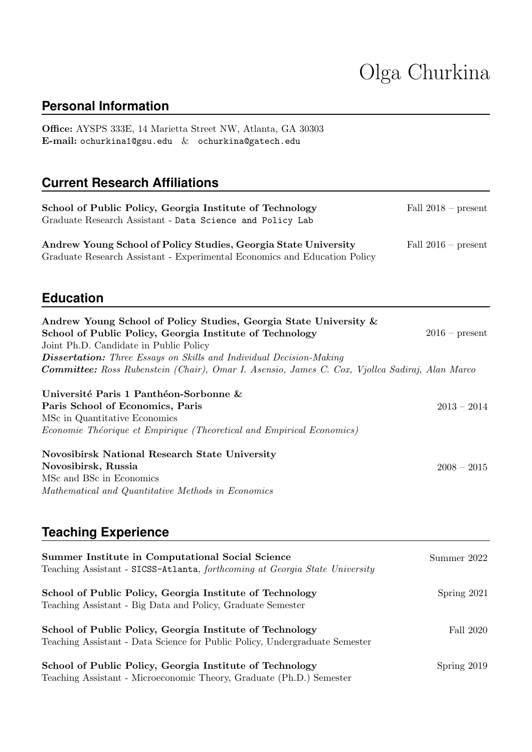# Olga Churkina

# **Personal Information**

Office: AYSPS 333E, 14 Marietta Street NW, Atlanta, GA 30303 E-mail: [ochurkina1@gsu.edu](mailto:ochurkina1@gsu.edu) & [ochurkina@gatech.edu](mailto:ochurkina@gatech.edu)

## **Current Research Affiliations**

| School of Public Policy, Georgia Institute of Technology<br>Graduate Research Assistant - Data Science and Policy Lab                                                                                                                                                                                                                                   | Fall $2018$ – present |
|---------------------------------------------------------------------------------------------------------------------------------------------------------------------------------------------------------------------------------------------------------------------------------------------------------------------------------------------------------|-----------------------|
| Andrew Young School of Policy Studies, Georgia State University<br>Graduate Research Assistant - Experimental Economics and Education Policy                                                                                                                                                                                                            | Fall $2016$ – present |
| <b>Education</b>                                                                                                                                                                                                                                                                                                                                        |                       |
| Andrew Young School of Policy Studies, Georgia State University &<br>School of Public Policy, Georgia Institute of Technology<br>Joint Ph.D. Candidate in Public Policy<br><b>Dissertation:</b> Three Essays on Skills and Individual Decision-Making<br>Committee: Ross Rubenstein (Chair), Omar I. Asensio, James C. Cox, Vjollca Sadiraj, Alan Marco | $2016$ – present      |
| Université Paris 1 Panthéon-Sorbonne &<br>Paris School of Economics, Paris<br>MSc in Quantitative Economics<br>Economie Théorique et Empirique (Theoretical and Empirical Economics)                                                                                                                                                                    | $2013 - 2014$         |
| <b>Novosibirsk National Research State University</b><br>Novosibirsk, Russia<br>MSc and BSc in Economics<br>Mathematical and Quantitative Methods in Economics                                                                                                                                                                                          | $2008 - 2015$         |

# **Teaching Experience**

| Summer Institute in Computational Social Science<br>Teaching Assistant - SICSS-Atlanta, forthcoming at Georgia State University         | Summer 2022 |
|-----------------------------------------------------------------------------------------------------------------------------------------|-------------|
| School of Public Policy, Georgia Institute of Technology<br>Teaching Assistant - Big Data and Policy, Graduate Semester                 | Spring 2021 |
| School of Public Policy, Georgia Institute of Technology<br>Teaching Assistant - Data Science for Public Policy, Undergraduate Semester | Fall 2020   |
| School of Public Policy, Georgia Institute of Technology<br>Teaching Assistant - Microeconomic Theory, Graduate (Ph.D.) Semester        | Spring 2019 |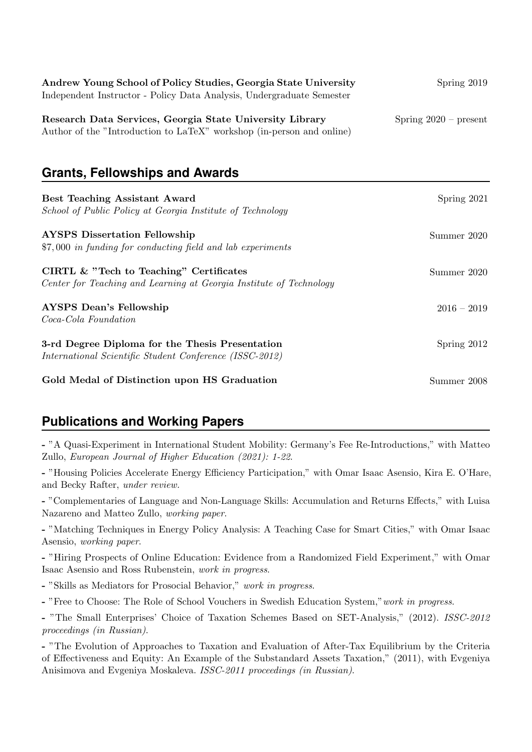| Andrew Young School of Policy Studies, Georgia State University       | Spring 2019             |
|-----------------------------------------------------------------------|-------------------------|
| Independent Instructor - Policy Data Analysis, Undergraduate Semester |                         |
|                                                                       |                         |
| Research Data Services, Georgia State University Library              | $Spring 2020 - present$ |
| Author of the "Introduction to LaTeX" workshop (in-person and online) |                         |

#### **Grants, Fellowships and Awards**

| <b>Best Teaching Assistant Award</b><br>School of Public Policy at Georgia Institute of Technology             | Spring 2021   |
|----------------------------------------------------------------------------------------------------------------|---------------|
| <b>AYSPS</b> Dissertation Fellowship<br>\$7,000 in funding for conducting field and lab experiments            | Summer 2020   |
| CIRTL & "Tech to Teaching" Certificates<br>Center for Teaching and Learning at Georgia Institute of Technology | Summer 2020   |
| <b>AYSPS</b> Dean's Fellowship<br>Coca-Cola Foundation                                                         | $2016 - 2019$ |
| 3-rd Degree Diploma for the Thesis Presentation<br>International Scientific Student Conference (ISSC-2012)     | Spring $2012$ |
| Gold Medal of Distinction upon HS Graduation                                                                   | Summer 2008   |

## **Publications and Working Papers**

- "A Quasi-Experiment in International Student Mobility: Germany's Fee Re-Introductions," with Matteo Zullo, European Journal of Higher Education (2021): 1-22.

- "Housing Policies Accelerate Energy Efficiency Participation," with Omar Isaac Asensio, Kira E. O'Hare, and Becky Rafter, under review.

- "Complementaries of Language and Non-Language Skills: Accumulation and Returns Effects," with Luisa Nazareno and Matteo Zullo, working paper.

- "Matching Techniques in Energy Policy Analysis: A Teaching Case for Smart Cities," with Omar Isaac Asensio, working paper.

- "Hiring Prospects of Online Education: Evidence from a Randomized Field Experiment," with Omar Isaac Asensio and Ross Rubenstein, work in progress.

- "Skills as Mediators for Prosocial Behavior," work in progress.

- "Free to Choose: The Role of School Vouchers in Swedish Education System," work in progress.

- "The Small Enterprises' Choice of Taxation Schemes Based on SET-Analysis," (2012). ISSC-2012 proceedings (in Russian).

- "The Evolution of Approaches to Taxation and Evaluation of After-Tax Equilibrium by the Criteria of Effectiveness and Equity: An Example of the Substandard Assets Taxation," (2011), with Evgeniya Anisimova and Evgeniya Moskaleva. ISSC-2011 proceedings (in Russian).